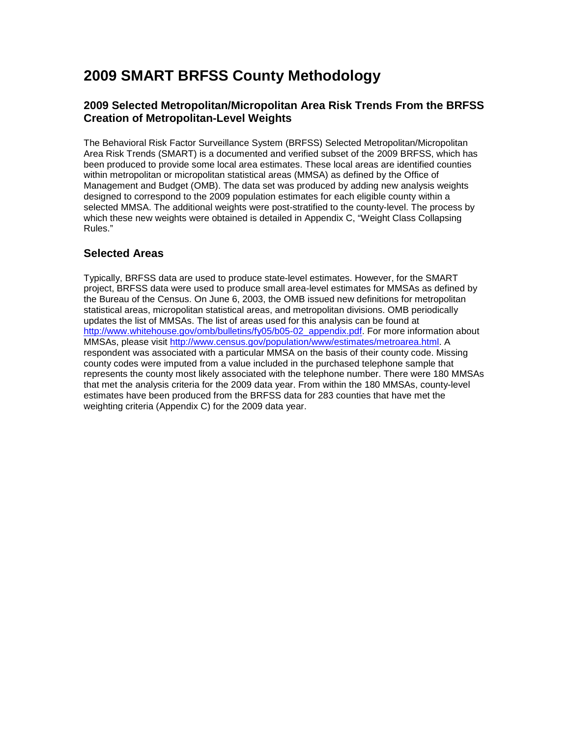# **2009 SMART BRFSS County Methodology**

### **2009 Selected Metropolitan/Micropolitan Area Risk Trends From the BRFSS Creation of Metropolitan-Level Weights**

The Behavioral Risk Factor Surveillance System (BRFSS) Selected Metropolitan/Micropolitan Area Risk Trends (SMART) is a documented and verified subset of the 2009 BRFSS, which has been produced to provide some local area estimates. These local areas are identified counties within metropolitan or micropolitan statistical areas (MMSA) as defined by the Office of Management and Budget (OMB). The data set was produced by adding new analysis weights designed to correspond to the 2009 population estimates for each eligible county within a selected MMSA. The additional weights were post-stratified to the county-level. The process by which these new weights were obtained is detailed in Appendix C, "Weight Class Collapsing Rules."

## **Selected Areas**

Typically, BRFSS data are used to produce state-level estimates. However, for the SMART project, BRFSS data were used to produce small area-level estimates for MMSAs as defined by the Bureau of the Census. On June 6, 2003, the OMB issued new definitions for metropolitan statistical areas, micropolitan statistical areas, and metropolitan divisions. OMB periodically updates the list of MMSAs. The list of areas used for this analysis can be found at [http://www.whitehouse.gov/omb/bulletins/fy05/b05-02\\_appendix.pdf.](http://www.whitehouse.gov/omb/bulletins/fy05/b05-02_appendix.pdf) For more information about MMSAs, please visit [http://www.census.gov/population/www/estimates/metroarea.html.](http://www.census.gov/population/www/estimates/metroarea.html) A respondent was associated with a particular MMSA on the basis of their county code. Missing county codes were imputed from a value included in the purchased telephone sample that represents the county most likely associated with the telephone number. There were 180 MMSAs that met the analysis criteria for the 2009 data year. From within the 180 MMSAs, county-level estimates have been produced from the BRFSS data for 283 counties that have met the weighting criteria (Appendix C) for the 2009 data year.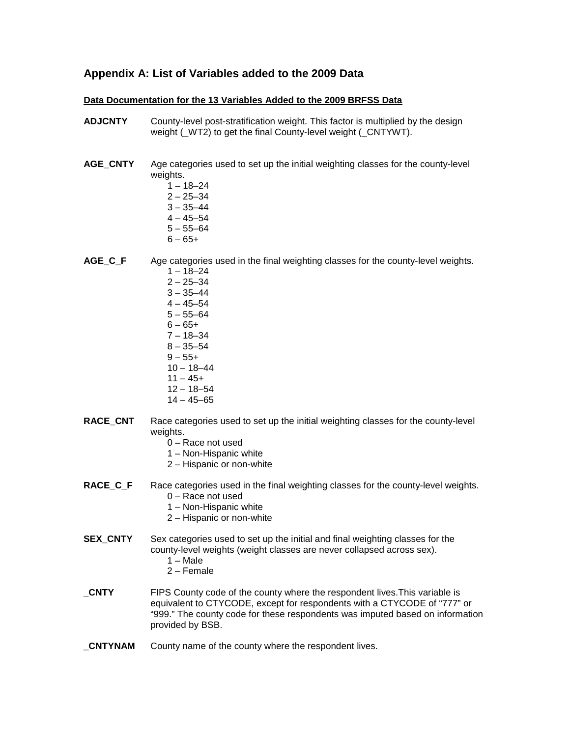### **Appendix A: List of Variables added to the 2009 Data**

#### **Data Documentation for the 13 Variables Added to the 2009 BRFSS Data**

- **ADJCNTY** County-level post-stratification weight. This factor is multiplied by the design weight (\_WT2) to get the final County-level weight (\_CNTYWT).
- AGE CNTY Age categories used to set up the initial weighting classes for the county-level weights.
	- $1 18 24$
	- $2 25 34$
	- $3 35 44$
	- $4 45 54$
	- $5 55 64$
	- $6 65 +$

**AGE\_C\_F** Age categories used in the final weighting classes for the county-level weights.

- $1 18 24$  $2 - 25 - 34$  $3 - 35 - 44$  $4 - 45 - 54$  $5 - 55 - 64$  $6 - 65 +$  $7 - 18 - 34$
- $8 35 54$
- $9 55+$
- $10 18 44$
- $11 45+$
- 12 18–54
- $14 45 65$
- **RACE CNT** Race categories used to set up the initial weighting classes for the county-level weights.
	- 0 Race not used
	- 1 Non-Hispanic white
	- 2 Hispanic or non-white
- **RACE\_C\_F** Race categories used in the final weighting classes for the county-level weights.
	- 0 Race not used
	- 1 Non-Hispanic white
	- 2 Hispanic or non-white
- **SEX CNTY** Sex categories used to set up the initial and final weighting classes for the county-level weights (weight classes are never collapsed across sex).
	- 1 Male
	- 2 Female
- **\_CNTY** FIPS County code of the county where the respondent lives.This variable is equivalent to CTYCODE, except for respondents with a CTYCODE of "777" or "999." The county code for these respondents was imputed based on information provided by BSB.
- **CNTYNAM** County name of the county where the respondent lives.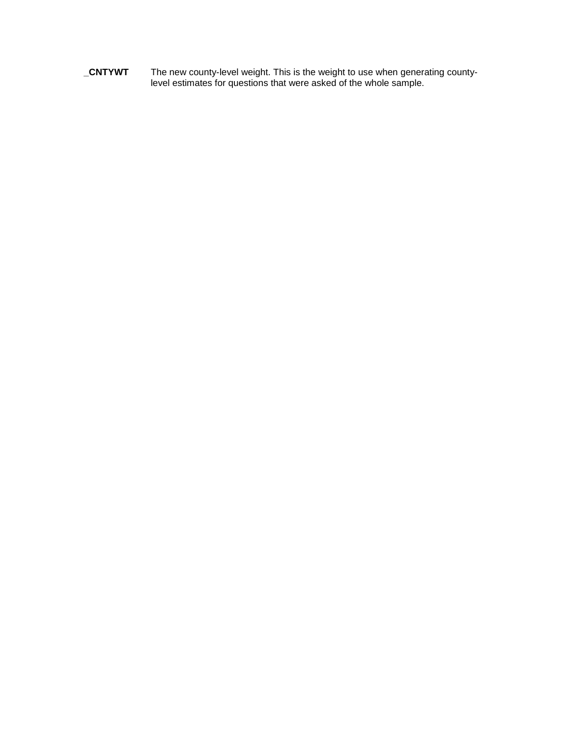**\_CNTYWT** The new county-level weight. This is the weight to use when generating countylevel estimates for questions that were asked of the whole sample.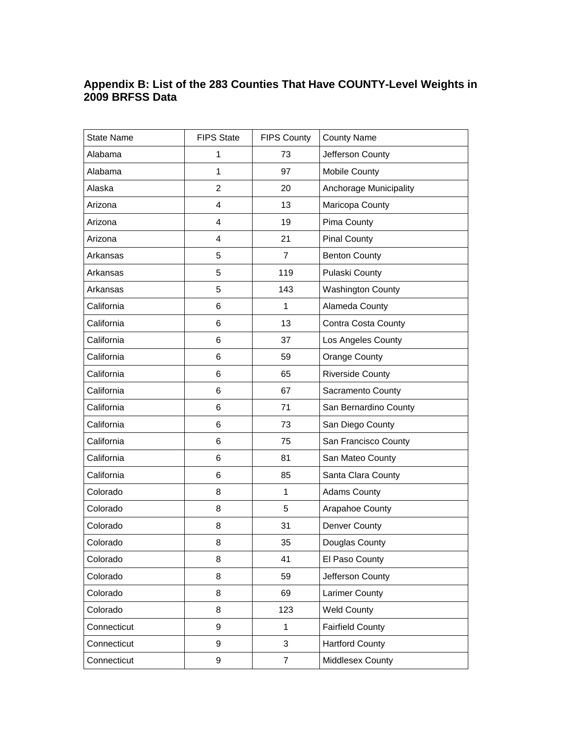### **Appendix B: List of the 283 Counties That Have COUNTY-Level Weights in 2009 BRFSS Data**

| <b>State Name</b> | <b>FIPS State</b> | <b>FIPS County</b> | <b>County Name</b>         |
|-------------------|-------------------|--------------------|----------------------------|
| Alabama           | 1                 | 73                 | Jefferson County           |
| Alabama           | 1                 | 97                 | Mobile County              |
| Alaska            | $\overline{2}$    | 20                 | Anchorage Municipality     |
| Arizona           | 4                 | 13                 | Maricopa County            |
| Arizona           | 4                 | 19                 | Pima County                |
| Arizona           | 4                 | 21                 | <b>Pinal County</b>        |
| Arkansas          | 5                 | $\overline{7}$     | <b>Benton County</b>       |
| Arkansas          | 5                 | 119                | Pulaski County             |
| Arkansas          | 5                 | 143                | <b>Washington County</b>   |
| California        | 6                 | $\mathbf{1}$       | Alameda County             |
| California        | 6                 | 13                 | <b>Contra Costa County</b> |
| California        | 6                 | 37                 | Los Angeles County         |
| California        | 6                 | 59                 | Orange County              |
| California        | 6                 | 65                 | <b>Riverside County</b>    |
| California        | 6                 | 67                 | Sacramento County          |
| California        | 6                 | 71                 | San Bernardino County      |
| California        | 6                 | 73                 | San Diego County           |
| California        | 6                 | 75                 | San Francisco County       |
| California        | 6                 | 81                 | San Mateo County           |
| California        | 6                 | 85                 | Santa Clara County         |
| Colorado          | 8                 | $\mathbf{1}$       | <b>Adams County</b>        |
| Colorado          | 8                 | 5                  | Arapahoe County            |
| Colorado          | 8                 | 31                 | Denver County              |
| Colorado          | 8                 | 35                 | Douglas County             |
| Colorado          | 8                 | 41                 | El Paso County             |
| Colorado          | 8                 | 59                 | Jefferson County           |
| Colorado          | 8                 | 69                 | <b>Larimer County</b>      |
| Colorado          | 8                 | 123                | <b>Weld County</b>         |
| Connecticut       | 9                 | $\mathbf{1}$       | <b>Fairfield County</b>    |
| Connecticut       | 9                 | 3                  | <b>Hartford County</b>     |
| Connecticut       | 9                 | $\overline{7}$     | Middlesex County           |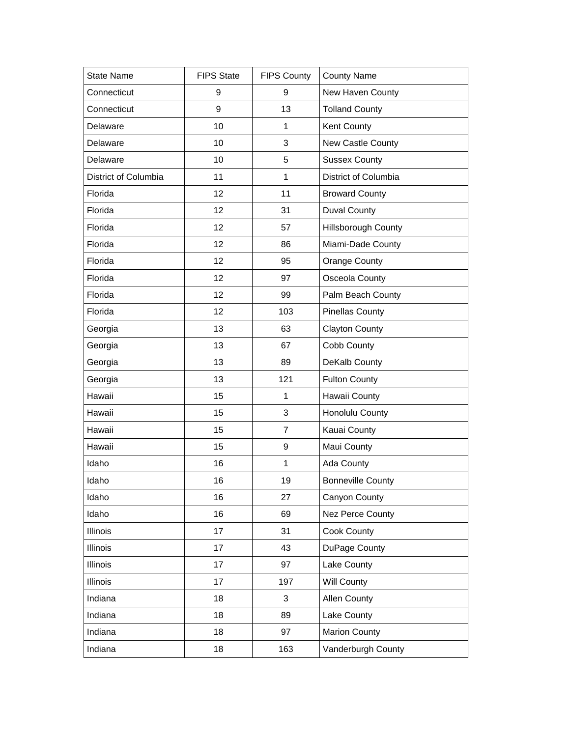| <b>State Name</b>    | <b>FIPS State</b> | <b>FIPS County</b> | <b>County Name</b>       |
|----------------------|-------------------|--------------------|--------------------------|
| Connecticut          | 9                 | 9                  | New Haven County         |
| Connecticut          | 9                 | 13                 | <b>Tolland County</b>    |
| Delaware             | 10                | 1                  | <b>Kent County</b>       |
| Delaware             | 10                | 3                  | New Castle County        |
| Delaware             | 10                | 5                  | <b>Sussex County</b>     |
| District of Columbia | 11                | 1                  | District of Columbia     |
| Florida              | 12                | 11                 | <b>Broward County</b>    |
| Florida              | 12                | 31                 | <b>Duval County</b>      |
| Florida              | 12                | 57                 | Hillsborough County      |
| Florida              | 12                | 86                 | Miami-Dade County        |
| Florida              | 12                | 95                 | Orange County            |
| Florida              | 12                | 97                 | Osceola County           |
| Florida              | 12                | 99                 | Palm Beach County        |
| Florida              | 12                | 103                | <b>Pinellas County</b>   |
| Georgia              | 13                | 63                 | <b>Clayton County</b>    |
| Georgia              | 13                | 67                 | Cobb County              |
| Georgia              | 13                | 89                 | DeKalb County            |
| Georgia              | 13                | 121                | <b>Fulton County</b>     |
| Hawaii               | 15                | 1                  | Hawaii County            |
| Hawaii               | 15                | 3                  | Honolulu County          |
| Hawaii               | 15                | $\overline{7}$     | Kauai County             |
| Hawaii               | 15                | 9                  | Maui County              |
| Idaho                | 16                | 1                  | Ada County               |
| Idaho                | 16                | 19                 | <b>Bonneville County</b> |
| Idaho                | 16                | 27                 | Canyon County            |
| Idaho                | 16                | 69                 | <b>Nez Perce County</b>  |
| <b>Illinois</b>      | 17                | 31                 | Cook County              |
| <b>Illinois</b>      | 17                | 43                 | DuPage County            |
| Illinois             | 17                | 97                 | Lake County              |
| <b>Illinois</b>      | 17                | 197                | <b>Will County</b>       |
| Indiana              | 18                | $\mathfrak{S}$     | Allen County             |
| Indiana              | 18                | 89                 | Lake County              |
| Indiana              | 18                | 97                 | <b>Marion County</b>     |
| Indiana              | 18                | 163                | Vanderburgh County       |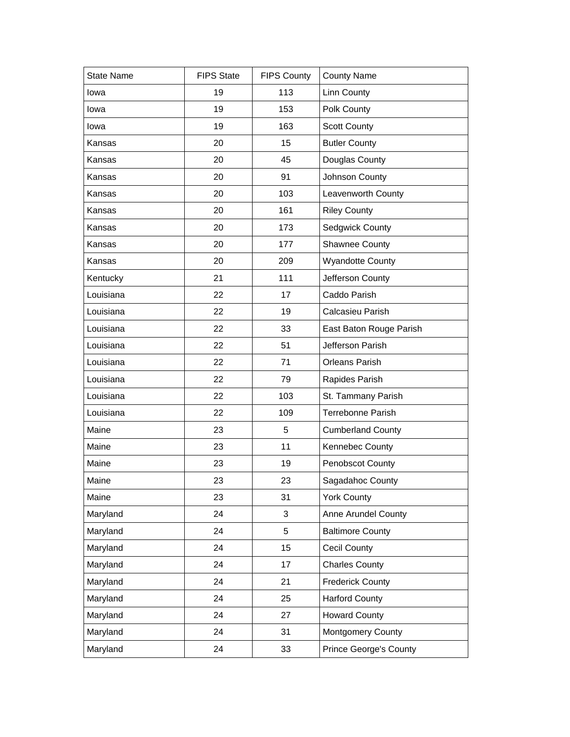| <b>State Name</b> |                   |                    |                               |
|-------------------|-------------------|--------------------|-------------------------------|
|                   | <b>FIPS State</b> | <b>FIPS County</b> | <b>County Name</b>            |
| lowa              | 19                | 113                | <b>Linn County</b>            |
| lowa              | 19                | 153                | Polk County                   |
| lowa              | 19                | 163                | <b>Scott County</b>           |
| Kansas            | 20                | 15                 | <b>Butler County</b>          |
| Kansas            | 20                | 45                 | Douglas County                |
| Kansas            | 20                | 91                 | Johnson County                |
| Kansas            | 20                | 103                | Leavenworth County            |
| Kansas            | 20                | 161                | <b>Riley County</b>           |
| Kansas            | 20                | 173                | Sedgwick County               |
| Kansas            | 20                | 177                | Shawnee County                |
| Kansas            | 20                | 209                | <b>Wyandotte County</b>       |
| Kentucky          | 21                | 111                | Jefferson County              |
| Louisiana         | 22                | 17                 | Caddo Parish                  |
| Louisiana         | 22                | 19                 | Calcasieu Parish              |
| Louisiana         | 22                | 33                 | East Baton Rouge Parish       |
| Louisiana         | 22                | 51                 | Jefferson Parish              |
| Louisiana         | 22                | 71                 | Orleans Parish                |
| Louisiana         | 22                | 79                 | Rapides Parish                |
| Louisiana         | 22                | 103                | St. Tammany Parish            |
| Louisiana         | 22                | 109                | Terrebonne Parish             |
| Maine             | 23                | 5                  | <b>Cumberland County</b>      |
| Maine             | 23                | 11                 | Kennebec County               |
| Maine             | 23                | 19                 | Penobscot County              |
| Maine             | 23                | 23                 | Sagadahoc County              |
| Maine             | 23                | 31                 | <b>York County</b>            |
| Maryland          | 24                | 3                  | Anne Arundel County           |
| Maryland          | 24                | 5                  | <b>Baltimore County</b>       |
| Maryland          | 24                | 15                 | <b>Cecil County</b>           |
| Maryland          | 24                | 17                 | <b>Charles County</b>         |
| Maryland          | 24                | 21                 | <b>Frederick County</b>       |
| Maryland          | 24                | 25                 | <b>Harford County</b>         |
| Maryland          | 24                | 27                 | <b>Howard County</b>          |
| Maryland          | 24                | 31                 | <b>Montgomery County</b>      |
| Maryland          | 24                | 33                 | <b>Prince George's County</b> |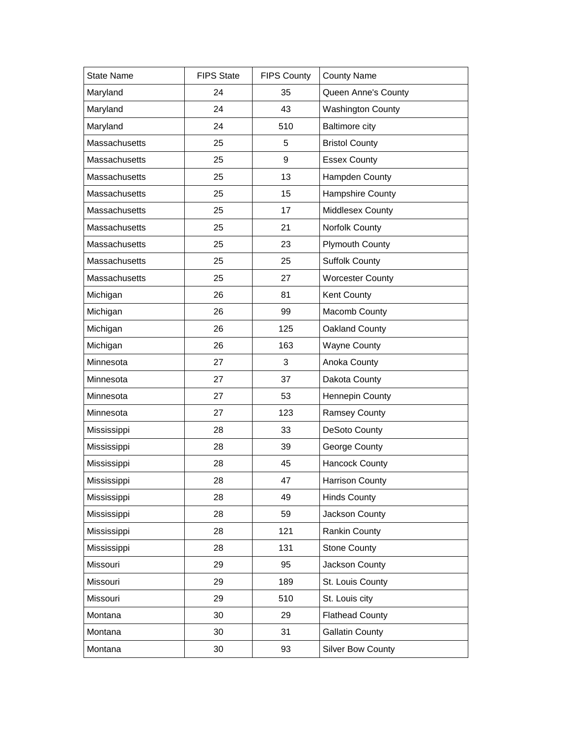| <b>State Name</b> | <b>FIPS State</b> | <b>FIPS County</b> | <b>County Name</b>       |
|-------------------|-------------------|--------------------|--------------------------|
| Maryland          | 24                | 35                 | Queen Anne's County      |
| Maryland          | 24                | 43                 | <b>Washington County</b> |
| Maryland          | 24                | 510                | <b>Baltimore city</b>    |
| Massachusetts     | 25                | 5                  | <b>Bristol County</b>    |
| Massachusetts     | 25                | 9                  | <b>Essex County</b>      |
| Massachusetts     | 25                | 13                 | Hampden County           |
| Massachusetts     | 25                | 15                 | <b>Hampshire County</b>  |
| Massachusetts     | 25                | 17                 | Middlesex County         |
| Massachusetts     | 25                | 21                 | Norfolk County           |
| Massachusetts     | 25                | 23                 | <b>Plymouth County</b>   |
| Massachusetts     | 25                | 25                 | <b>Suffolk County</b>    |
| Massachusetts     | 25                | 27                 | <b>Worcester County</b>  |
| Michigan          | 26                | 81                 | Kent County              |
| Michigan          | 26                | 99                 | Macomb County            |
| Michigan          | 26                | 125                | Oakland County           |
| Michigan          | 26                | 163                | <b>Wayne County</b>      |
| Minnesota         | 27                | 3                  | Anoka County             |
| Minnesota         | 27                | 37                 | Dakota County            |
| Minnesota         | 27                | 53                 | <b>Hennepin County</b>   |
| Minnesota         | 27                | 123                | <b>Ramsey County</b>     |
| Mississippi       | 28                | 33                 | DeSoto County            |
| Mississippi       | 28                | 39                 | George County            |
| Mississippi       | 28                | 45                 | <b>Hancock County</b>    |
| Mississippi       | 28                | 47                 | <b>Harrison County</b>   |
| Mississippi       | 28                | 49                 | <b>Hinds County</b>      |
| Mississippi       | 28                | 59                 | Jackson County           |
| Mississippi       | 28                | 121                | Rankin County            |
| Mississippi       | 28                | 131                | <b>Stone County</b>      |
| Missouri          | 29                | 95                 | Jackson County           |
| Missouri          | 29                | 189                | St. Louis County         |
| Missouri          | 29                | 510                | St. Louis city           |
| Montana           | 30                | 29                 | <b>Flathead County</b>   |
| Montana           | 30                | 31                 | <b>Gallatin County</b>   |
| Montana           | 30                | 93                 | <b>Silver Bow County</b> |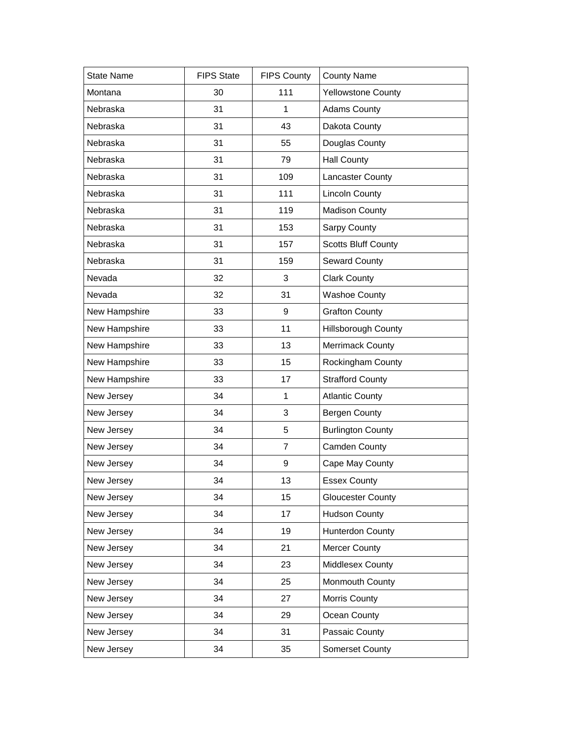| <b>State Name</b> | <b>FIPS State</b> | <b>FIPS County</b> | <b>County Name</b>         |
|-------------------|-------------------|--------------------|----------------------------|
| Montana           | 30                | 111                | <b>Yellowstone County</b>  |
| Nebraska          | 31                | 1                  | <b>Adams County</b>        |
| Nebraska          | 31                | 43                 | Dakota County              |
| Nebraska          | 31                | 55                 | Douglas County             |
| Nebraska          | 31                | 79                 | <b>Hall County</b>         |
| Nebraska          | 31                | 109                | <b>Lancaster County</b>    |
| Nebraska          | 31                | 111                | <b>Lincoln County</b>      |
| Nebraska          | 31                | 119                | <b>Madison County</b>      |
| Nebraska          | 31                | 153                | Sarpy County               |
| Nebraska          | 31                | 157                | <b>Scotts Bluff County</b> |
| Nebraska          | 31                | 159                | <b>Seward County</b>       |
| Nevada            | 32                | 3                  | <b>Clark County</b>        |
| Nevada            | 32                | 31                 | <b>Washoe County</b>       |
| New Hampshire     | 33                | 9                  | <b>Grafton County</b>      |
| New Hampshire     | 33                | 11                 | <b>Hillsborough County</b> |
| New Hampshire     | 33                | 13                 | <b>Merrimack County</b>    |
| New Hampshire     | 33                | 15                 | Rockingham County          |
| New Hampshire     | 33                | 17                 | <b>Strafford County</b>    |
| New Jersey        | 34                | 1                  | <b>Atlantic County</b>     |
| New Jersey        | 34                | 3                  | <b>Bergen County</b>       |
| New Jersey        | 34                | 5                  | <b>Burlington County</b>   |
| New Jersey        | 34                | $\overline{7}$     | Camden County              |
| New Jersey        | 34                | 9                  | Cape May County            |
| New Jersey        | 34                | 13                 | <b>Essex County</b>        |
| New Jersey        | 34                | 15                 | <b>Gloucester County</b>   |
| New Jersey        | 34                | 17                 | <b>Hudson County</b>       |
| New Jersey        | 34                | 19                 | <b>Hunterdon County</b>    |
| New Jersey        | 34                | 21                 | <b>Mercer County</b>       |
| New Jersey        | 34                | 23                 | Middlesex County           |
| New Jersey        | 34                | 25                 | Monmouth County            |
| New Jersey        | 34                | 27                 | Morris County              |
| New Jersey        | 34                | 29                 | Ocean County               |
| New Jersey        | 34                | 31                 | Passaic County             |
| New Jersey        | 34                | 35                 | Somerset County            |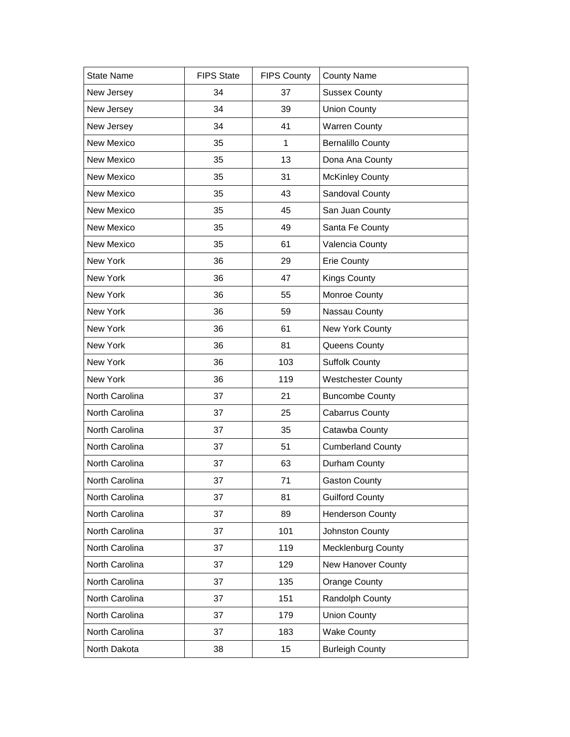| <b>State Name</b> | <b>FIPS State</b> | <b>FIPS County</b> | <b>County Name</b>        |
|-------------------|-------------------|--------------------|---------------------------|
| New Jersey        | 34                | 37                 | <b>Sussex County</b>      |
| New Jersey        | 34                | 39                 | <b>Union County</b>       |
| New Jersey        | 34                | 41                 | <b>Warren County</b>      |
| New Mexico        | 35                | 1                  | <b>Bernalillo County</b>  |
| New Mexico        | 35                | 13                 | Dona Ana County           |
| New Mexico        | 35                | 31                 | <b>McKinley County</b>    |
| New Mexico        | 35                | 43                 | Sandoval County           |
| New Mexico        | 35                | 45                 | San Juan County           |
| New Mexico        | 35                | 49                 | Santa Fe County           |
| New Mexico        | 35                | 61                 | Valencia County           |
| New York          | 36                | 29                 | <b>Erie County</b>        |
| New York          | 36                | 47                 | <b>Kings County</b>       |
| New York          | 36                | 55                 | Monroe County             |
| New York          | 36                | 59                 | Nassau County             |
| New York          | 36                | 61                 | New York County           |
| New York          | 36                | 81                 | Queens County             |
| New York          | 36                | 103                | <b>Suffolk County</b>     |
| New York          | 36                | 119                | <b>Westchester County</b> |
| North Carolina    | 37                | 21                 | <b>Buncombe County</b>    |
| North Carolina    | 37                | 25                 | Cabarrus County           |
| North Carolina    | 37                | 35                 | Catawba County            |
| North Carolina    | 37                | 51                 | <b>Cumberland County</b>  |
| North Carolina    | 37                | 63                 | Durham County             |
| North Carolina    | 37                | 71                 | <b>Gaston County</b>      |
| North Carolina    | 37                | 81                 | <b>Guilford County</b>    |
| North Carolina    | 37                | 89                 | <b>Henderson County</b>   |
| North Carolina    | 37                | 101                | Johnston County           |
| North Carolina    | 37                | 119                | <b>Mecklenburg County</b> |
| North Carolina    | 37                | 129                | New Hanover County        |
| North Carolina    | 37                | 135                | <b>Orange County</b>      |
| North Carolina    | 37                | 151                | Randolph County           |
| North Carolina    | 37                | 179                | <b>Union County</b>       |
| North Carolina    | 37                | 183                | <b>Wake County</b>        |
| North Dakota      | 38                | 15                 | <b>Burleigh County</b>    |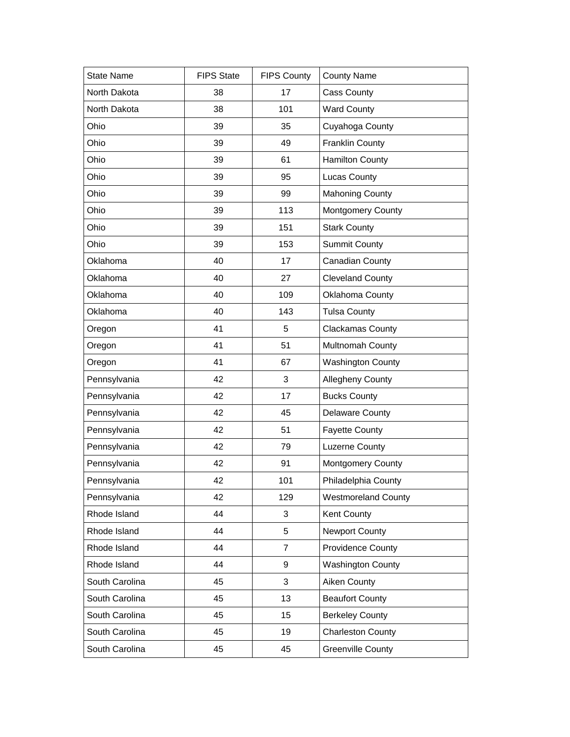| <b>State Name</b> | <b>FIPS State</b> | <b>FIPS County</b> | <b>County Name</b>         |
|-------------------|-------------------|--------------------|----------------------------|
| North Dakota      | 38                | 17                 | Cass County                |
| North Dakota      | 38                | 101                | <b>Ward County</b>         |
| Ohio              | 39                | 35                 | Cuyahoga County            |
| Ohio              | 39                | 49                 | <b>Franklin County</b>     |
| Ohio              | 39                | 61                 | <b>Hamilton County</b>     |
| Ohio              | 39                | 95                 | Lucas County               |
| Ohio              | 39                | 99                 | <b>Mahoning County</b>     |
| Ohio              | 39                | 113                | <b>Montgomery County</b>   |
| Ohio              | 39                | 151                | <b>Stark County</b>        |
| Ohio              | 39                | 153                | <b>Summit County</b>       |
| Oklahoma          | 40                | 17                 | Canadian County            |
| Oklahoma          | 40                | 27                 | <b>Cleveland County</b>    |
| Oklahoma          | 40                | 109                | Oklahoma County            |
| Oklahoma          | 40                | 143                | <b>Tulsa County</b>        |
| Oregon            | 41                | 5                  | <b>Clackamas County</b>    |
| Oregon            | 41                | 51                 | Multnomah County           |
| Oregon            | 41                | 67                 | <b>Washington County</b>   |
| Pennsylvania      | 42                | 3                  | Allegheny County           |
| Pennsylvania      | 42                | 17                 | <b>Bucks County</b>        |
| Pennsylvania      | 42                | 45                 | <b>Delaware County</b>     |
| Pennsylvania      | 42                | 51                 | <b>Fayette County</b>      |
| Pennsylvania      | 42                | 79                 | Luzerne County             |
| Pennsylvania      | 42                | 91                 | <b>Montgomery County</b>   |
| Pennsylvania      | 42                | 101                | Philadelphia County        |
| Pennsylvania      | 42                | 129                | <b>Westmoreland County</b> |
| Rhode Island      | 44                | 3                  | Kent County                |
| Rhode Island      | 44                | 5                  | <b>Newport County</b>      |
| Rhode Island      | 44                | 7                  | <b>Providence County</b>   |
| Rhode Island      | 44                | 9                  | <b>Washington County</b>   |
| South Carolina    | 45                | 3                  | <b>Aiken County</b>        |
| South Carolina    | 45                | 13                 | <b>Beaufort County</b>     |
| South Carolina    | 45                | 15                 | <b>Berkeley County</b>     |
| South Carolina    | 45                | 19                 | <b>Charleston County</b>   |
| South Carolina    | 45                | 45                 | <b>Greenville County</b>   |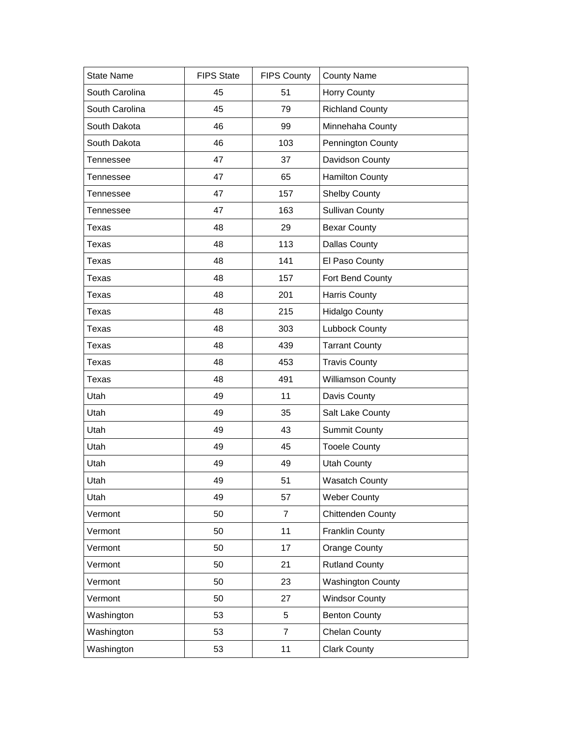| <b>State Name</b> | <b>FIPS State</b> | <b>FIPS County</b> | <b>County Name</b>       |
|-------------------|-------------------|--------------------|--------------------------|
| South Carolina    | 45                | 51                 | Horry County             |
| South Carolina    | 45                | 79                 | <b>Richland County</b>   |
| South Dakota      | 46                | 99                 | Minnehaha County         |
| South Dakota      | 46                | 103                | Pennington County        |
| <b>Tennessee</b>  | 47                | 37                 | Davidson County          |
| <b>Tennessee</b>  | 47                | 65                 | <b>Hamilton County</b>   |
| Tennessee         | 47                | 157                | <b>Shelby County</b>     |
| Tennessee         | 47                | 163                | <b>Sullivan County</b>   |
| Texas             | 48                | 29                 | <b>Bexar County</b>      |
| <b>Texas</b>      | 48                | 113                | <b>Dallas County</b>     |
| Texas             | 48                | 141                | El Paso County           |
| <b>Texas</b>      | 48                | 157                | Fort Bend County         |
| <b>Texas</b>      | 48                | 201                | <b>Harris County</b>     |
| <b>Texas</b>      | 48                | 215                | <b>Hidalgo County</b>    |
| Texas             | 48                | 303                | Lubbock County           |
| <b>Texas</b>      | 48                | 439                | <b>Tarrant County</b>    |
| Texas             | 48                | 453                | <b>Travis County</b>     |
| <b>Texas</b>      | 48                | 491                | <b>Williamson County</b> |
| Utah              | 49                | 11                 | Davis County             |
| Utah              | 49                | 35                 | Salt Lake County         |
| Utah              | 49                | 43                 | <b>Summit County</b>     |
| Utah              | 49                | 45                 | <b>Tooele County</b>     |
| Utah              | 49                | 49                 | <b>Utah County</b>       |
| Utah              | 49                | 51                 | <b>Wasatch County</b>    |
| Utah              | 49                | 57                 | <b>Weber County</b>      |
| Vermont           | 50                | $\overline{7}$     | <b>Chittenden County</b> |
| Vermont           | 50                | 11                 | <b>Franklin County</b>   |
| Vermont           | 50                | 17                 | <b>Orange County</b>     |
| Vermont           | 50                | 21                 | <b>Rutland County</b>    |
| Vermont           | 50                | 23                 | <b>Washington County</b> |
| Vermont           | 50                | 27                 | <b>Windsor County</b>    |
| Washington        | 53                | 5                  | <b>Benton County</b>     |
| Washington        | 53                | $\overline{7}$     | Chelan County            |
| Washington        | 53                | 11                 | <b>Clark County</b>      |
|                   |                   |                    |                          |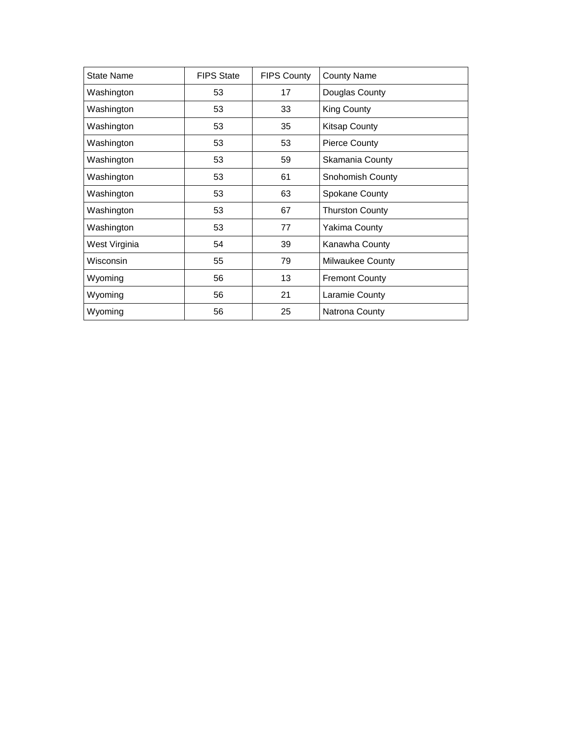| <b>State Name</b> | <b>FIPS State</b> | <b>FIPS County</b> | <b>County Name</b>      |
|-------------------|-------------------|--------------------|-------------------------|
| Washington        | 53                | 17                 | Douglas County          |
| Washington        | 53                | 33                 | King County             |
| Washington        | 53                | 35                 | <b>Kitsap County</b>    |
| Washington        | 53                | 53                 | <b>Pierce County</b>    |
| Washington        | 53                | 59                 | Skamania County         |
| Washington        | 53                | 61                 | <b>Snohomish County</b> |
| Washington        | 53                | 63                 | Spokane County          |
| Washington        | 53                | 67                 | <b>Thurston County</b>  |
| Washington        | 53                | 77                 | Yakima County           |
| West Virginia     | 54                | 39                 | Kanawha County          |
| Wisconsin         | 55                | 79                 | <b>Milwaukee County</b> |
| Wyoming           | 56                | 13                 | <b>Fremont County</b>   |
| Wyoming           | 56                | 21                 | Laramie County          |
| Wyoming           | 56                | 25                 | Natrona County          |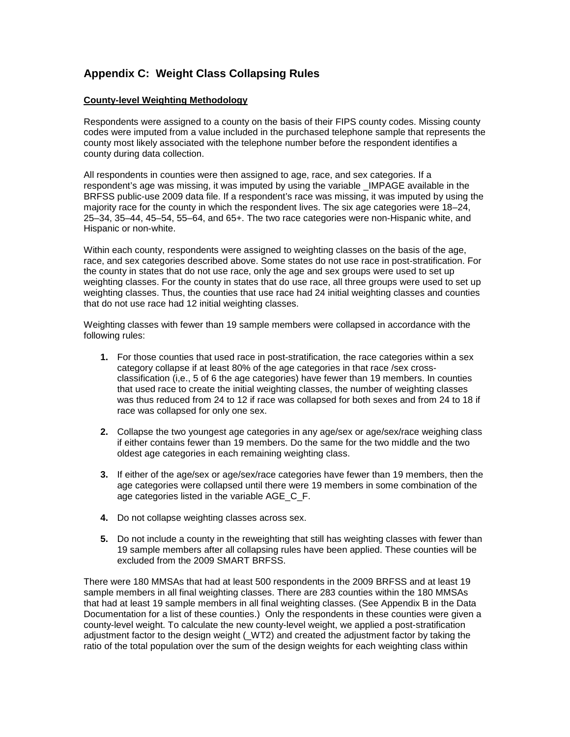## **Appendix C: Weight Class Collapsing Rules**

#### **County-level Weighting Methodology**

Respondents were assigned to a county on the basis of their FIPS county codes. Missing county codes were imputed from a value included in the purchased telephone sample that represents the county most likely associated with the telephone number before the respondent identifies a county during data collection.

All respondents in counties were then assigned to age, race, and sex categories. If a respondent's age was missing, it was imputed by using the variable IMPAGE available in the BRFSS public-use 2009 data file. If a respondent's race was missing, it was imputed by using the majority race for the county in which the respondent lives. The six age categories were 18–24, 25–34, 35–44, 45–54, 55–64, and 65+. The two race categories were non-Hispanic white, and Hispanic or non-white.

Within each county, respondents were assigned to weighting classes on the basis of the age, race, and sex categories described above. Some states do not use race in post-stratification. For the county in states that do not use race, only the age and sex groups were used to set up weighting classes. For the county in states that do use race, all three groups were used to set up weighting classes. Thus, the counties that use race had 24 initial weighting classes and counties that do not use race had 12 initial weighting classes.

Weighting classes with fewer than 19 sample members were collapsed in accordance with the following rules:

- **1.** For those counties that used race in post-stratification, the race categories within a sex category collapse if at least 80% of the age categories in that race /sex crossclassification (i,e., 5 of 6 the age categories) have fewer than 19 members. In counties that used race to create the initial weighting classes, the number of weighting classes was thus reduced from 24 to 12 if race was collapsed for both sexes and from 24 to 18 if race was collapsed for only one sex.
- **2.** Collapse the two youngest age categories in any age/sex or age/sex/race weighing class if either contains fewer than 19 members. Do the same for the two middle and the two oldest age categories in each remaining weighting class.
- **3.** If either of the age/sex or age/sex/race categories have fewer than 19 members, then the age categories were collapsed until there were 19 members in some combination of the age categories listed in the variable AGE\_C\_F.
- **4.** Do not collapse weighting classes across sex.
- **5.** Do not include a county in the reweighting that still has weighting classes with fewer than 19 sample members after all collapsing rules have been applied. These counties will be excluded from the 2009 SMART BRFSS.

There were 180 MMSAs that had at least 500 respondents in the 2009 BRFSS and at least 19 sample members in all final weighting classes. There are 283 counties within the 180 MMSAs that had at least 19 sample members in all final weighting classes. (See Appendix B in the Data Documentation for a list of these counties.) Only the respondents in these counties were given a county-level weight. To calculate the new county-level weight, we applied a post-stratification adjustment factor to the design weight ( WT2) and created the adjustment factor by taking the ratio of the total population over the sum of the design weights for each weighting class within